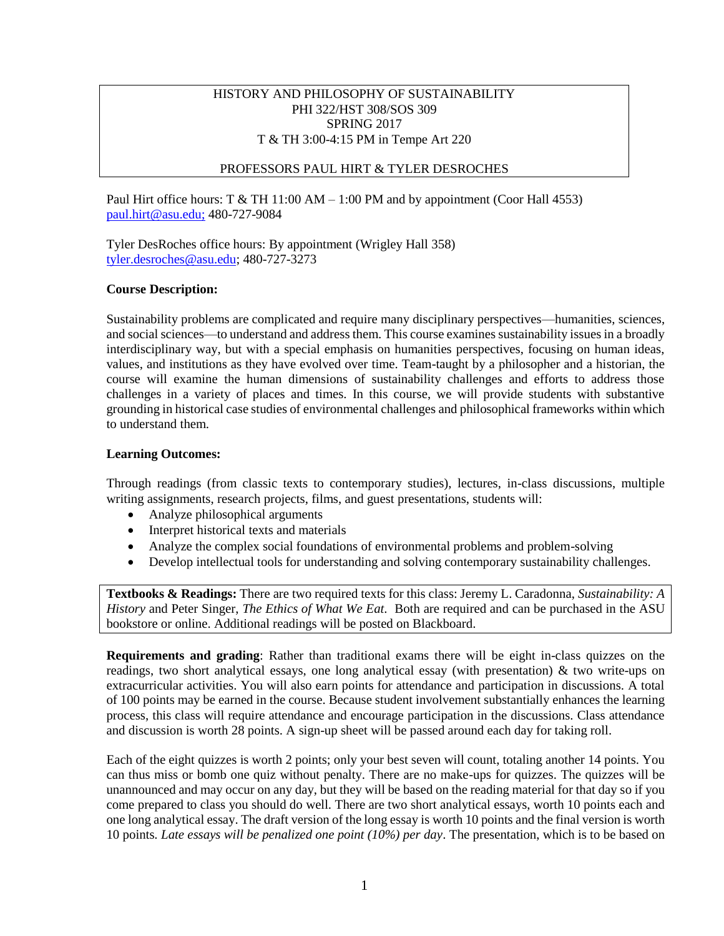# HISTORY AND PHILOSOPHY OF SUSTAINABILITY PHI 322/HST 308/SOS 309 SPRING 2017 T & TH 3:00-4:15 PM in Tempe Art 220

# PROFESSORS PAUL HIRT & TYLER DESROCHES

Paul Hirt office hours: T & TH 11:00 AM – 1:00 PM and by appointment (Coor Hall 4553) [paul.hirt@asu.edu;](mailto:paul.hirt@asu.edu) 480-727-9084

Tyler DesRoches office hours: By appointment (Wrigley Hall 358) [tyler.desroches@asu.edu;](mailto:tyler.desroches@asu.edu) 480-727-3273

## **Course Description:**

Sustainability problems are complicated and require many disciplinary perspectives—humanities, sciences, and social sciences—to understand and address them. This course examines sustainability issues in a broadly interdisciplinary way, but with a special emphasis on humanities perspectives, focusing on human ideas, values, and institutions as they have evolved over time. Team-taught by a philosopher and a historian, the course will examine the human dimensions of sustainability challenges and efforts to address those challenges in a variety of places and times. In this course, we will provide students with substantive grounding in historical case studies of environmental challenges and philosophical frameworks within which to understand them.

## **Learning Outcomes:**

Through readings (from classic texts to contemporary studies), lectures, in-class discussions, multiple writing assignments, research projects, films, and guest presentations, students will:

- Analyze philosophical arguments
- Interpret historical texts and materials
- Analyze the complex social foundations of environmental problems and problem-solving
- Develop intellectual tools for understanding and solving contemporary sustainability challenges.

**Textbooks & Readings:** There are two required texts for this class: Jeremy L. Caradonna, *Sustainability: A History* and Peter Singer, *The Ethics of What We Eat.* Both are required and can be purchased in the ASU bookstore or online. Additional readings will be posted on Blackboard.

**Requirements and grading**: Rather than traditional exams there will be eight in-class quizzes on the readings, two short analytical essays, one long analytical essay (with presentation) & two write-ups on extracurricular activities. You will also earn points for attendance and participation in discussions. A total of 100 points may be earned in the course. Because student involvement substantially enhances the learning process, this class will require attendance and encourage participation in the discussions. Class attendance and discussion is worth 28 points. A sign-up sheet will be passed around each day for taking roll.

Each of the eight quizzes is worth 2 points; only your best seven will count, totaling another 14 points. You can thus miss or bomb one quiz without penalty. There are no make-ups for quizzes. The quizzes will be unannounced and may occur on any day, but they will be based on the reading material for that day so if you come prepared to class you should do well. There are two short analytical essays, worth 10 points each and one long analytical essay. The draft version of the long essay is worth 10 points and the final version is worth 10 points*. Late essays will be penalized one point (10%) per day*. The presentation, which is to be based on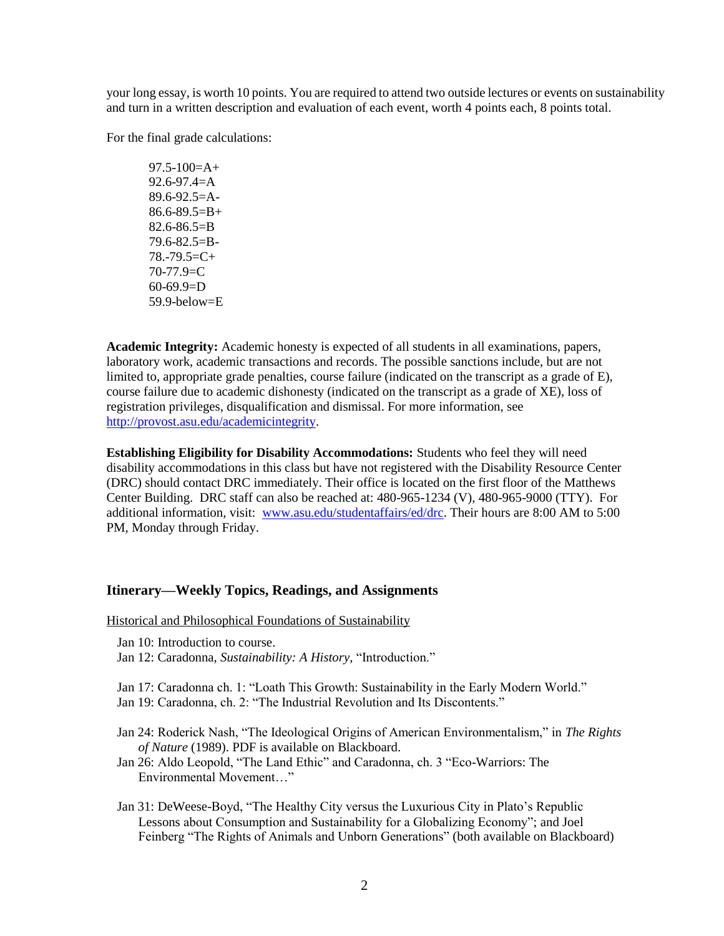your long essay, is worth 10 points. You are required to attend two outside lectures or events on sustainability and turn in a written description and evaluation of each event, worth 4 points each, 8 points total.

For the final grade calculations:

97.5-100=A+  $92.6 - 97.4 = A$  $89.6 - 92.5 = A 86.6 - 89.5 = B +$  $82.6 - 86.5 = B$ 79.6-82.5=B- $78.-79.5=C+$ 70-77.9=C 60-69.9=D 59.9-below=E

**Academic Integrity:** Academic honesty is expected of all students in all examinations, papers, laboratory work, academic transactions and records. The possible sanctions include, but are not limited to, appropriate grade penalties, course failure (indicated on the transcript as a grade of E), course failure due to academic dishonesty (indicated on the transcript as a grade of XE), loss of registration privileges, disqualification and dismissal. For more information, see [http://provost.asu.edu/academicintegrity.](http://provost.asu.edu/academicintegrity)

**Establishing Eligibility for Disability Accommodations:** Students who feel they will need disability accommodations in this class but have not registered with the Disability Resource Center (DRC) should contact DRC immediately. Their office is located on the first floor of the Matthews Center Building. DRC staff can also be reached at: 480-965-1234 (V), 480-965-9000 (TTY). For additional information, visit: [www.asu.edu/studentaffairs/ed/drc.](http://www.asu.edu/studentaffairs/ed/drc) Their hours are 8:00 AM to 5:00 PM, Monday through Friday.

## **Itinerary—Weekly Topics, Readings, and Assignments**

Historical and Philosophical Foundations of Sustainability

Jan 10: Introduction to course.

Jan 12: Caradonna, *Sustainability: A History,* "Introduction."

Jan 17: Caradonna ch. 1: "Loath This Growth: Sustainability in the Early Modern World." Jan 19: Caradonna, ch. 2: "The Industrial Revolution and Its Discontents."

- Jan 24: Roderick Nash, "The Ideological Origins of American Environmentalism," in *The Rights of Nature* (1989). PDF is available on Blackboard.
- Jan 26: Aldo Leopold, "The Land Ethic" and Caradonna, ch. 3 "Eco-Warriors: The Environmental Movement…"
- Jan 31: DeWeese-Boyd, "The Healthy City versus the Luxurious City in Plato's Republic Lessons about Consumption and Sustainability for a Globalizing Economy"; and Joel Feinberg "The Rights of Animals and Unborn Generations" (both available on Blackboard)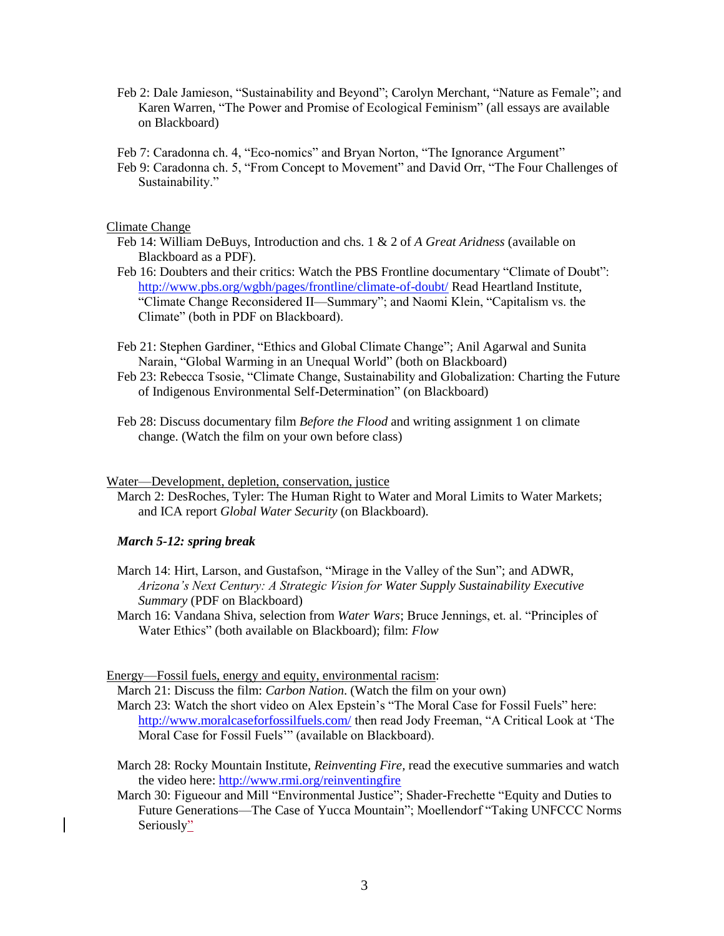Feb 2: Dale Jamieson, "Sustainability and Beyond"; Carolyn Merchant, "Nature as Female"; and Karen Warren, "The Power and Promise of Ecological Feminism" (all essays are available on Blackboard)

Feb 7: Caradonna ch. 4, "Eco-nomics" and Bryan Norton, "The Ignorance Argument"

Feb 9: Caradonna ch. 5, "From Concept to Movement" and David Orr, "The Four Challenges of Sustainability."

Climate Change

- Feb 14: William DeBuys, Introduction and chs. 1 & 2 of *A Great Aridness* (available on Blackboard as a PDF).
- Feb 16: Doubters and their critics: Watch the PBS Frontline documentary "Climate of Doubt": <http://www.pbs.org/wgbh/pages/frontline/climate-of-doubt/> Read Heartland Institute, "Climate Change Reconsidered II—Summary"; and Naomi Klein, "Capitalism vs. the Climate" (both in PDF on Blackboard).
- Feb 21: Stephen Gardiner, "Ethics and Global Climate Change"; Anil Agarwal and Sunita Narain, "Global Warming in an Unequal World" (both on Blackboard)
- Feb 23: Rebecca Tsosie, "Climate Change, Sustainability and Globalization: Charting the Future of Indigenous Environmental Self-Determination" (on Blackboard)
- Feb 28: Discuss documentary film *Before the Flood* and writing assignment 1 on climate change. (Watch the film on your own before class)

#### Water—Development, depletion, conservation, justice

March 2: DesRoches, Tyler: The Human Right to Water and Moral Limits to Water Markets; and ICA report *Global Water Security* (on Blackboard).

### *March 5-12: spring break*

- March 14: Hirt, Larson, and Gustafson, "Mirage in the Valley of the Sun"; and ADWR, *Arizona's Next Century: A Strategic Vision for Water Supply Sustainability Executive Summary* (PDF on Blackboard)
- March 16: Vandana Shiva, selection from *Water Wars*; Bruce Jennings, et. al. "Principles of Water Ethics" (both available on Blackboard); film: *Flow*

Energy—Fossil fuels, energy and equity, environmental racism:

March 21: Discuss the film: *Carbon Nation*. (Watch the film on your own) March 23: Watch the short video on Alex Epstein's "The Moral Case for Fossil Fuels" here: <http://www.moralcaseforfossilfuels.com/> then read Jody Freeman, "A Critical Look at 'The Moral Case for Fossil Fuels'" (available on Blackboard).

- March 28: Rocky Mountain Institute, *Reinventing Fire,* read the executive summaries and watch the video here:<http://www.rmi.org/reinventingfire>
- March 30: Figueour and Mill "Environmental Justice"; Shader-Frechette "Equity and Duties to Future Generations—The Case of Yucca Mountain"; Moellendorf "Taking UNFCCC Norms Seriously"